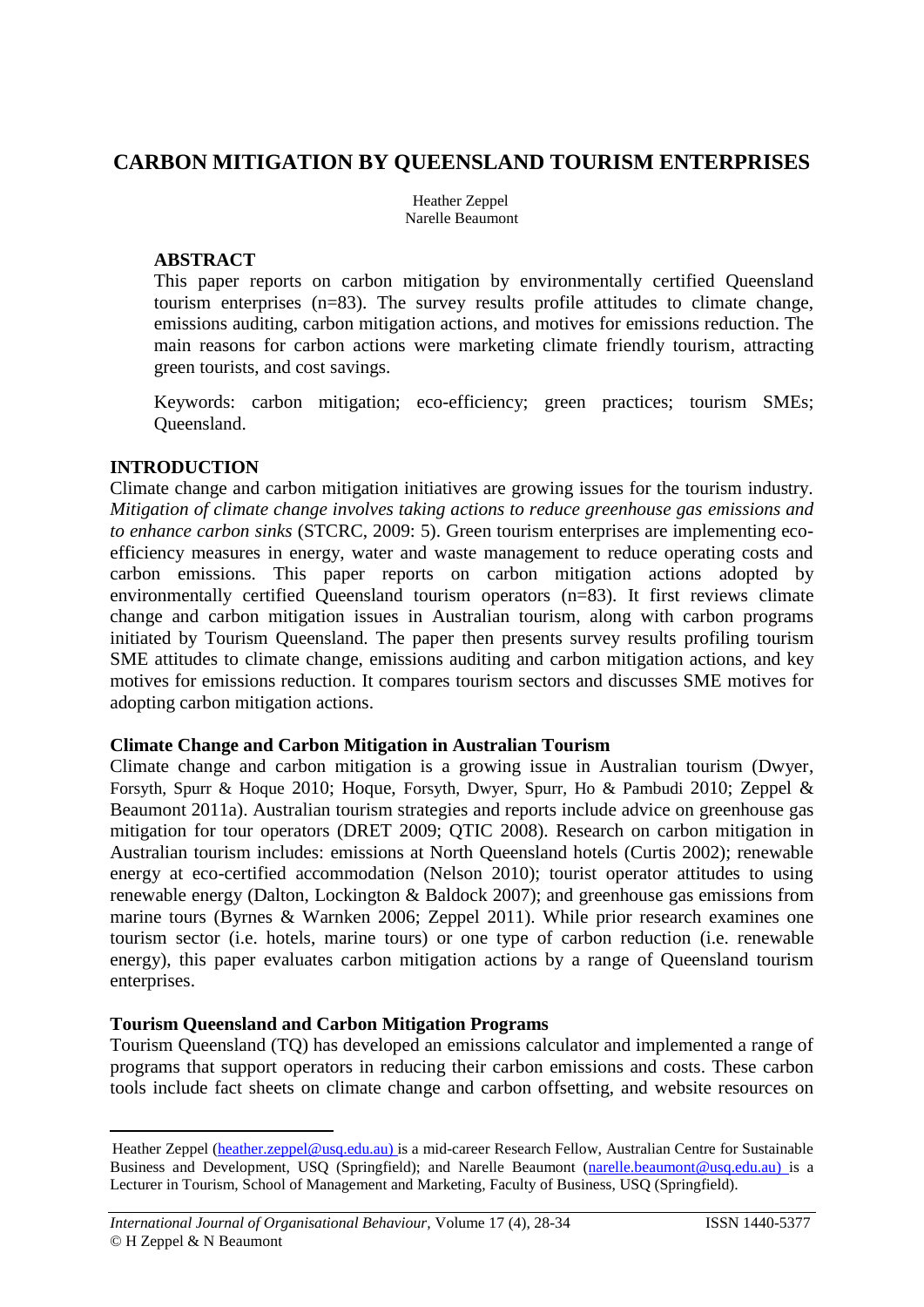# **CARBON MITIGATION BY QUEENSLAND TOURISM ENTERPRISES**

Heather Zeppel Narelle Beaumont

#### **ABSTRACT**

This paper reports on carbon mitigation by environmentally certified Queensland tourism enterprises (n=83). The survey results profile attitudes to climate change, emissions auditing, carbon mitigation actions, and motives for emissions reduction. The main reasons for carbon actions were marketing climate friendly tourism, attracting green tourists, and cost savings.

Keywords: carbon mitigation; eco-efficiency; green practices; tourism SMEs; Queensland.

#### **INTRODUCTION**

 $\overline{a}$ 

Climate change and carbon mitigation initiatives are growing issues for the tourism industry. *Mitigation of climate change involves taking actions to reduce greenhouse gas emissions and to enhance carbon sinks* (STCRC, 2009: 5). Green tourism enterprises are implementing ecoefficiency measures in energy, water and waste management to reduce operating costs and carbon emissions. This paper reports on carbon mitigation actions adopted by environmentally certified Queensland tourism operators (n=83). It first reviews climate change and carbon mitigation issues in Australian tourism, along with carbon programs initiated by Tourism Queensland. The paper then presents survey results profiling tourism SME attitudes to climate change, emissions auditing and carbon mitigation actions, and key motives for emissions reduction. It compares tourism sectors and discusses SME motives for adopting carbon mitigation actions.

#### **Climate Change and Carbon Mitigation in Australian Tourism**

Climate change and carbon mitigation is a growing issue in Australian tourism (Dwyer, Forsyth, Spurr & Hoque 2010; Hoque, Forsyth, Dwyer, Spurr, Ho & Pambudi 2010; Zeppel & Beaumont 2011a). Australian tourism strategies and reports include advice on greenhouse gas mitigation for tour operators (DRET 2009; QTIC 2008). Research on carbon mitigation in Australian tourism includes: emissions at North Queensland hotels (Curtis 2002); renewable energy at eco-certified accommodation (Nelson 2010); tourist operator attitudes to using renewable energy (Dalton, Lockington & Baldock 2007); and greenhouse gas emissions from marine tours (Byrnes & Warnken 2006; Zeppel 2011). While prior research examines one tourism sector (i.e. hotels, marine tours) or one type of carbon reduction (i.e. renewable energy), this paper evaluates carbon mitigation actions by a range of Queensland tourism enterprises.

## **Tourism Queensland and Carbon Mitigation Programs**

Tourism Queensland (TQ) has developed an emissions calculator and implemented a range of programs that support operators in reducing their carbon emissions and costs. These carbon tools include fact sheets on climate change and carbon offsetting, and website resources on

Heather Zeppel [\(heather.zeppel@usq.edu.au\)](mailto:heather.zeppel@usq.edu.au) is a mid-career Research Fellow, Australian Centre for Sustainable Business and Development, USQ (Springfield); and Narelle Beaumont [\(narelle.beaumont@usq.edu.au\)](mailto:narelle.beaumont@usq.edu.au) is a Lecturer in Tourism, School of Management and Marketing, Faculty of Business, USQ (Springfield).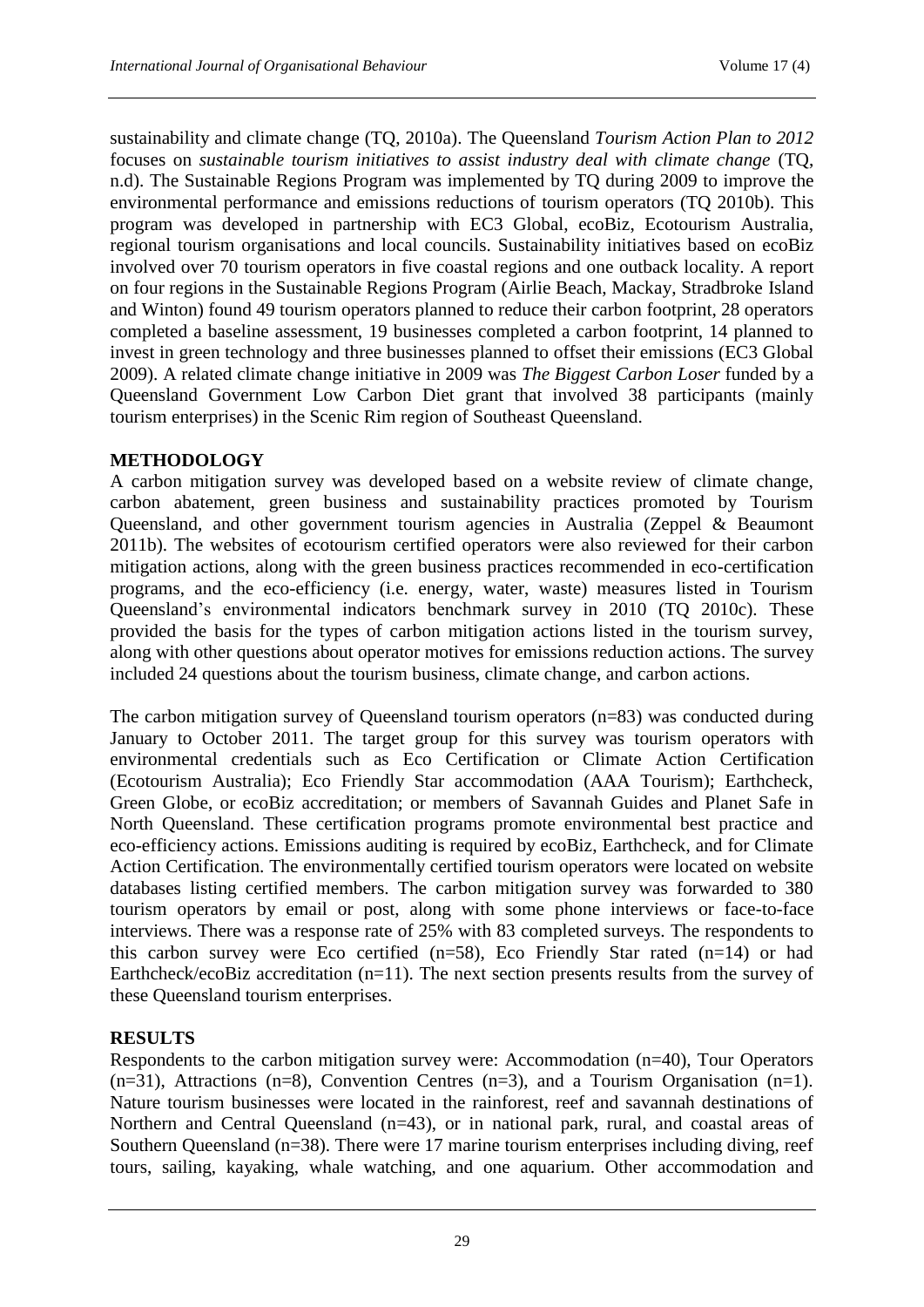sustainability and climate change (TQ, 2010a). The Queensland *Tourism Action Plan to 2012* focuses on *sustainable tourism initiatives to assist industry deal with climate change* (TQ, n.d). The Sustainable Regions Program was implemented by TQ during 2009 to improve the environmental performance and emissions reductions of tourism operators (TQ 2010b). This program was developed in partnership with EC3 Global, ecoBiz, Ecotourism Australia, regional tourism organisations and local councils. Sustainability initiatives based on ecoBiz involved over 70 tourism operators in five coastal regions and one outback locality. A report on four regions in the Sustainable Regions Program (Airlie Beach, Mackay, Stradbroke Island and Winton) found 49 tourism operators planned to reduce their carbon footprint, 28 operators completed a baseline assessment, 19 businesses completed a carbon footprint, 14 planned to invest in green technology and three businesses planned to offset their emissions (EC3 Global 2009). A related climate change initiative in 2009 was *The Biggest Carbon Loser* funded by a Queensland Government Low Carbon Diet grant that involved 38 participants (mainly tourism enterprises) in the Scenic Rim region of Southeast Queensland.

#### **METHODOLOGY**

A carbon mitigation survey was developed based on a website review of climate change, carbon abatement, green business and sustainability practices promoted by Tourism Queensland, and other government tourism agencies in Australia (Zeppel & Beaumont 2011b). The websites of ecotourism certified operators were also reviewed for their carbon mitigation actions, along with the green business practices recommended in eco-certification programs, and the eco-efficiency (i.e. energy, water, waste) measures listed in Tourism Queensland's environmental indicators benchmark survey in 2010 (TQ 2010c). These provided the basis for the types of carbon mitigation actions listed in the tourism survey, along with other questions about operator motives for emissions reduction actions. The survey included 24 questions about the tourism business, climate change, and carbon actions.

The carbon mitigation survey of Queensland tourism operators (n=83) was conducted during January to October 2011. The target group for this survey was tourism operators with environmental credentials such as Eco Certification or Climate Action Certification (Ecotourism Australia); Eco Friendly Star accommodation (AAA Tourism); Earthcheck, Green Globe, or ecoBiz accreditation; or members of Savannah Guides and Planet Safe in North Queensland. These certification programs promote environmental best practice and eco-efficiency actions. Emissions auditing is required by ecoBiz, Earthcheck, and for Climate Action Certification. The environmentally certified tourism operators were located on website databases listing certified members. The carbon mitigation survey was forwarded to 380 tourism operators by email or post, along with some phone interviews or face-to-face interviews. There was a response rate of 25% with 83 completed surveys. The respondents to this carbon survey were Eco certified  $(n=58)$ , Eco Friendly Star rated  $(n=14)$  or had Earthcheck/ecoBiz accreditation (n=11). The next section presents results from the survey of these Queensland tourism enterprises.

## **RESULTS**

Respondents to the carbon mitigation survey were: Accommodation (n=40), Tour Operators  $(n=31)$ , Attractions  $(n=8)$ , Convention Centres  $(n=3)$ , and a Tourism Organisation  $(n=1)$ . Nature tourism businesses were located in the rainforest, reef and savannah destinations of Northern and Central Queensland (n=43), or in national park, rural, and coastal areas of Southern Queensland (n=38). There were 17 marine tourism enterprises including diving, reef tours, sailing, kayaking, whale watching, and one aquarium. Other accommodation and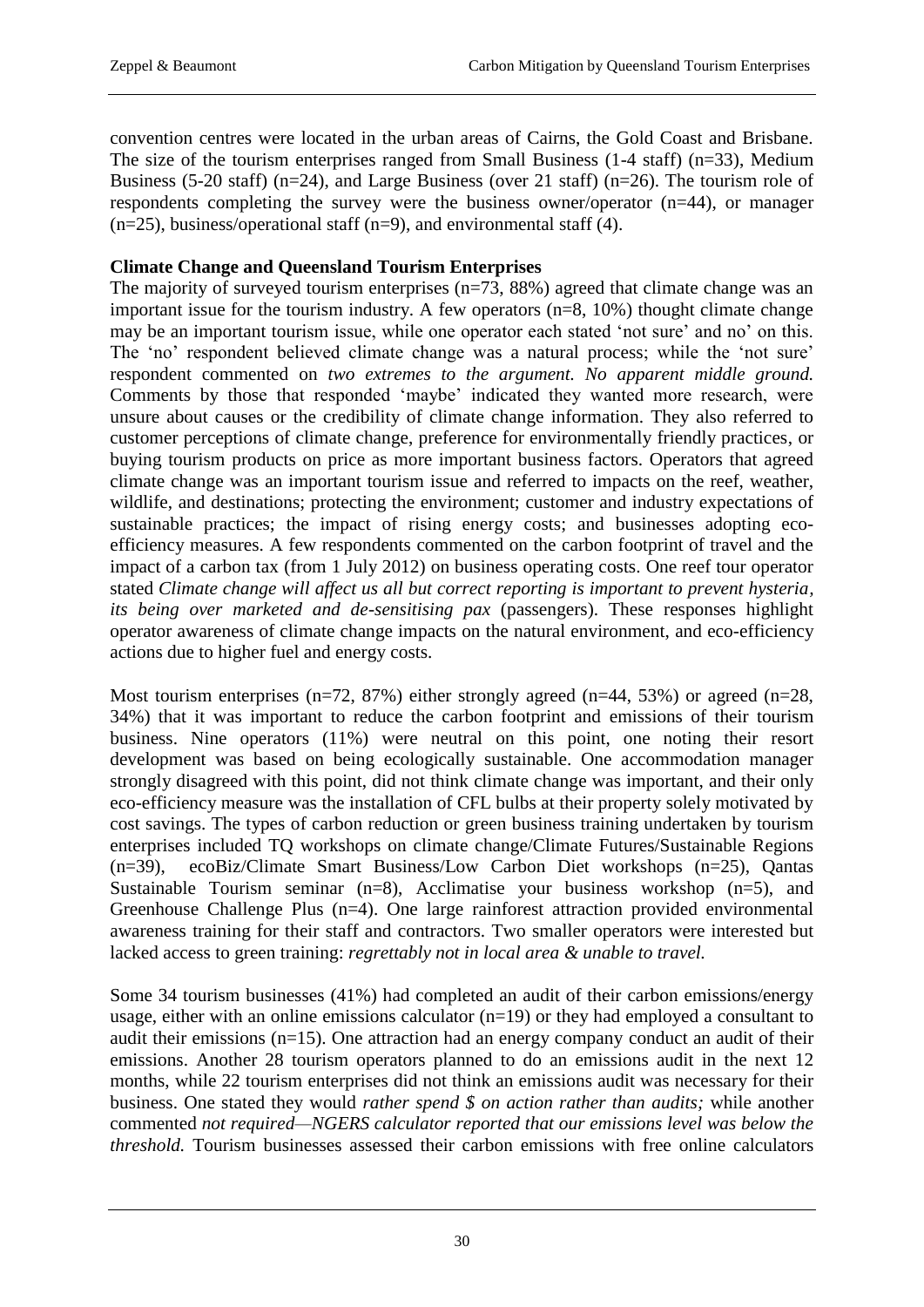convention centres were located in the urban areas of Cairns, the Gold Coast and Brisbane. The size of the tourism enterprises ranged from Small Business (1-4 staff) (n=33), Medium Business (5-20 staff) (n=24), and Large Business (over 21 staff) (n=26). The tourism role of respondents completing the survey were the business owner/operator (n=44), or manager  $(n=25)$ , business/operational staff  $(n=9)$ , and environmental staff (4).

## **Climate Change and Queensland Tourism Enterprises**

The majority of surveyed tourism enterprises (n=73, 88%) agreed that climate change was an important issue for the tourism industry. A few operators (n=8, 10%) thought climate change may be an important tourism issue, while one operator each stated 'not sure' and no' on this. The 'no' respondent believed climate change was a natural process; while the 'not sure' respondent commented on *two extremes to the argument. No apparent middle ground.* Comments by those that responded 'maybe' indicated they wanted more research, were unsure about causes or the credibility of climate change information. They also referred to customer perceptions of climate change, preference for environmentally friendly practices, or buying tourism products on price as more important business factors. Operators that agreed climate change was an important tourism issue and referred to impacts on the reef, weather, wildlife, and destinations; protecting the environment; customer and industry expectations of sustainable practices; the impact of rising energy costs; and businesses adopting ecoefficiency measures. A few respondents commented on the carbon footprint of travel and the impact of a carbon tax (from 1 July 2012) on business operating costs. One reef tour operator stated *Climate change will affect us all but correct reporting is important to prevent hysteria, its being over marketed and de-sensitising pax* (passengers). These responses highlight operator awareness of climate change impacts on the natural environment, and eco-efficiency actions due to higher fuel and energy costs.

Most tourism enterprises (n=72, 87%) either strongly agreed (n=44, 53%) or agreed (n=28, 34%) that it was important to reduce the carbon footprint and emissions of their tourism business. Nine operators (11%) were neutral on this point, one noting their resort development was based on being ecologically sustainable. One accommodation manager strongly disagreed with this point, did not think climate change was important, and their only eco-efficiency measure was the installation of CFL bulbs at their property solely motivated by cost savings. The types of carbon reduction or green business training undertaken by tourism enterprises included TQ workshops on climate change/Climate Futures/Sustainable Regions (n=39), ecoBiz/Climate Smart Business/Low Carbon Diet workshops (n=25), Qantas Sustainable Tourism seminar  $(n=8)$ , Acclimatise your business workshop  $(n=5)$ , and Greenhouse Challenge Plus (n=4). One large rainforest attraction provided environmental awareness training for their staff and contractors. Two smaller operators were interested but lacked access to green training: *regrettably not in local area & unable to travel.*

Some 34 tourism businesses (41%) had completed an audit of their carbon emissions/energy usage, either with an online emissions calculator (n=19) or they had employed a consultant to audit their emissions (n=15). One attraction had an energy company conduct an audit of their emissions. Another 28 tourism operators planned to do an emissions audit in the next 12 months, while 22 tourism enterprises did not think an emissions audit was necessary for their business. One stated they would *rather spend \$ on action rather than audits;* while another commented *not required—NGERS calculator reported that our emissions level was below the threshold.* Tourism businesses assessed their carbon emissions with free online calculators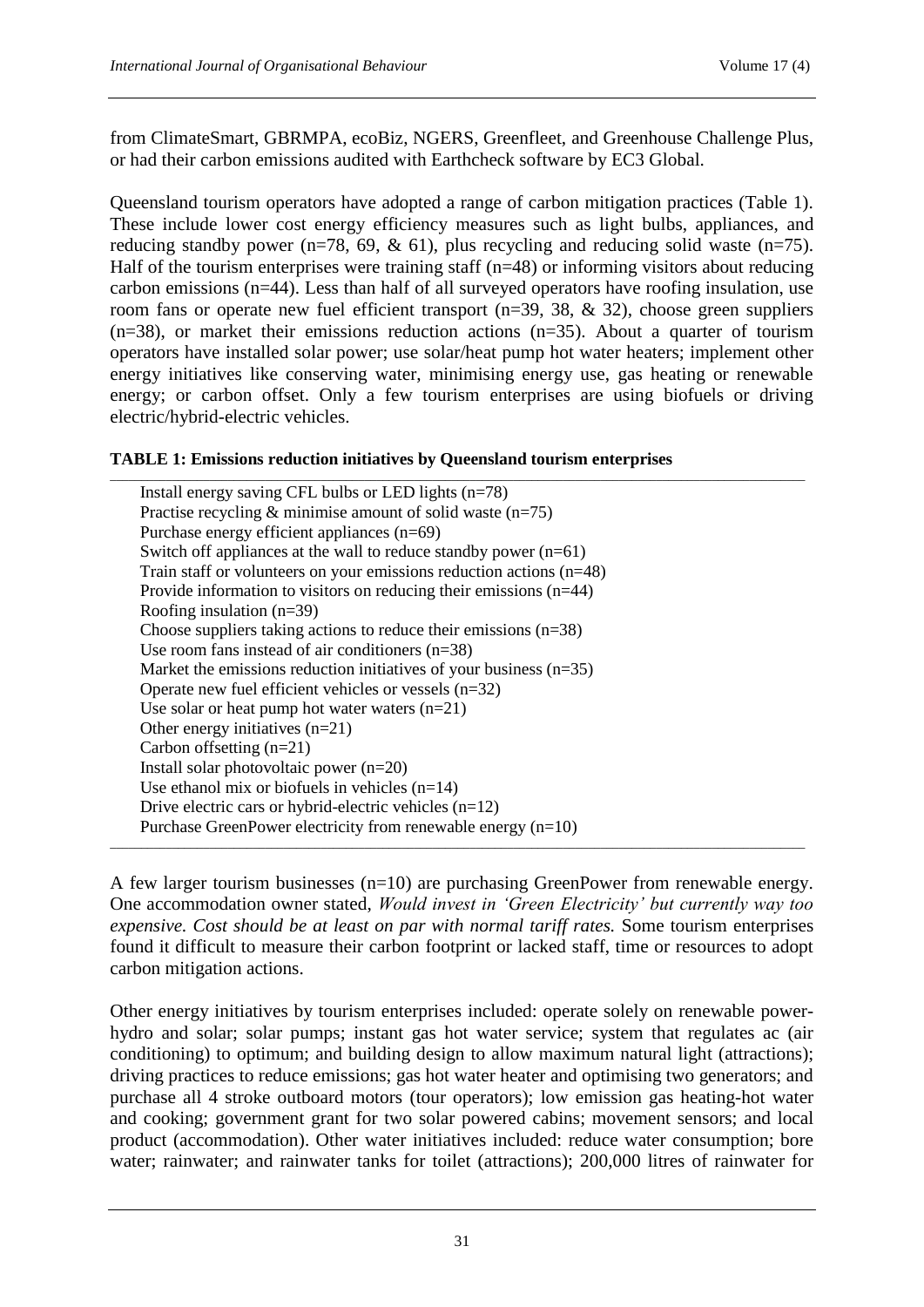from ClimateSmart, GBRMPA, ecoBiz, NGERS, Greenfleet, and Greenhouse Challenge Plus, or had their carbon emissions audited with Earthcheck software by EC3 Global.

Queensland tourism operators have adopted a range of carbon mitigation practices (Table 1). These include lower cost energy efficiency measures such as light bulbs, appliances, and reducing standby power (n=78, 69,  $\&$  61), plus recycling and reducing solid waste (n=75). Half of the tourism enterprises were training staff ( $n=48$ ) or informing visitors about reducing carbon emissions (n=44). Less than half of all surveyed operators have roofing insulation, use room fans or operate new fuel efficient transport (n=39, 38, & 32), choose green suppliers  $(n=38)$ , or market their emissions reduction actions  $(n=35)$ . About a quarter of tourism operators have installed solar power; use solar/heat pump hot water heaters; implement other energy initiatives like conserving water, minimising energy use, gas heating or renewable energy; or carbon offset. Only a few tourism enterprises are using biofuels or driving electric/hybrid-electric vehicles.

#### **TABLE 1: Emissions reduction initiatives by Queensland tourism enterprises**

| Install energy saving CFL bulbs or LED lights $(n=78)$                 |
|------------------------------------------------------------------------|
| Practise recycling $\&$ minimise amount of solid waste (n=75)          |
| Purchase energy efficient appliances $(n=69)$                          |
| Switch off appliances at the wall to reduce standby power $(n=61)$     |
| Train staff or volunteers on your emissions reduction actions $(n=48)$ |
| Provide information to visitors on reducing their emissions $(n=44)$   |
| Roofing insulation $(n=39)$                                            |
| Choose suppliers taking actions to reduce their emissions $(n=38)$     |
| Use room fans instead of air conditioners $(n=38)$                     |
| Market the emissions reduction initiatives of your business $(n=35)$   |
| Operate new fuel efficient vehicles or vessels $(n=32)$                |
| Use solar or heat pump hot water waters $(n=21)$                       |
| Other energy initiatives $(n=21)$                                      |
| Carbon offsetting $(n=21)$                                             |
| Install solar photovoltaic power $(n=20)$                              |
| Use ethanol mix or biofuels in vehicles $(n=14)$                       |
| Drive electric cars or hybrid-electric vehicles $(n=12)$               |
| Purchase GreenPower electricity from renewable energy $(n=10)$         |

A few larger tourism businesses  $(n=10)$  are purchasing GreenPower from renewable energy. One accommodation owner stated, *Would invest in 'Green Electricity' but currently way too expensive. Cost should be at least on par with normal tariff rates.* Some tourism enterprises found it difficult to measure their carbon footprint or lacked staff, time or resources to adopt carbon mitigation actions.

\_\_\_\_\_\_\_\_\_\_\_\_\_\_\_\_\_\_\_\_\_\_\_\_\_\_\_\_\_\_\_\_\_\_\_\_\_\_\_\_\_\_\_\_\_\_\_\_\_\_\_\_\_\_\_\_\_\_\_\_\_\_\_\_\_\_\_\_\_\_\_\_\_\_\_\_\_\_\_\_\_\_\_\_\_\_\_\_\_\_\_\_\_\_\_\_\_\_\_\_\_\_\_\_\_\_\_\_\_\_\_\_

Other energy initiatives by tourism enterprises included: operate solely on renewable powerhydro and solar; solar pumps; instant gas hot water service; system that regulates ac (air conditioning) to optimum; and building design to allow maximum natural light (attractions); driving practices to reduce emissions; gas hot water heater and optimising two generators; and purchase all 4 stroke outboard motors (tour operators); low emission gas heating-hot water and cooking; government grant for two solar powered cabins; movement sensors; and local product (accommodation). Other water initiatives included: reduce water consumption; bore water; rainwater; and rainwater tanks for toilet (attractions); 200,000 litres of rainwater for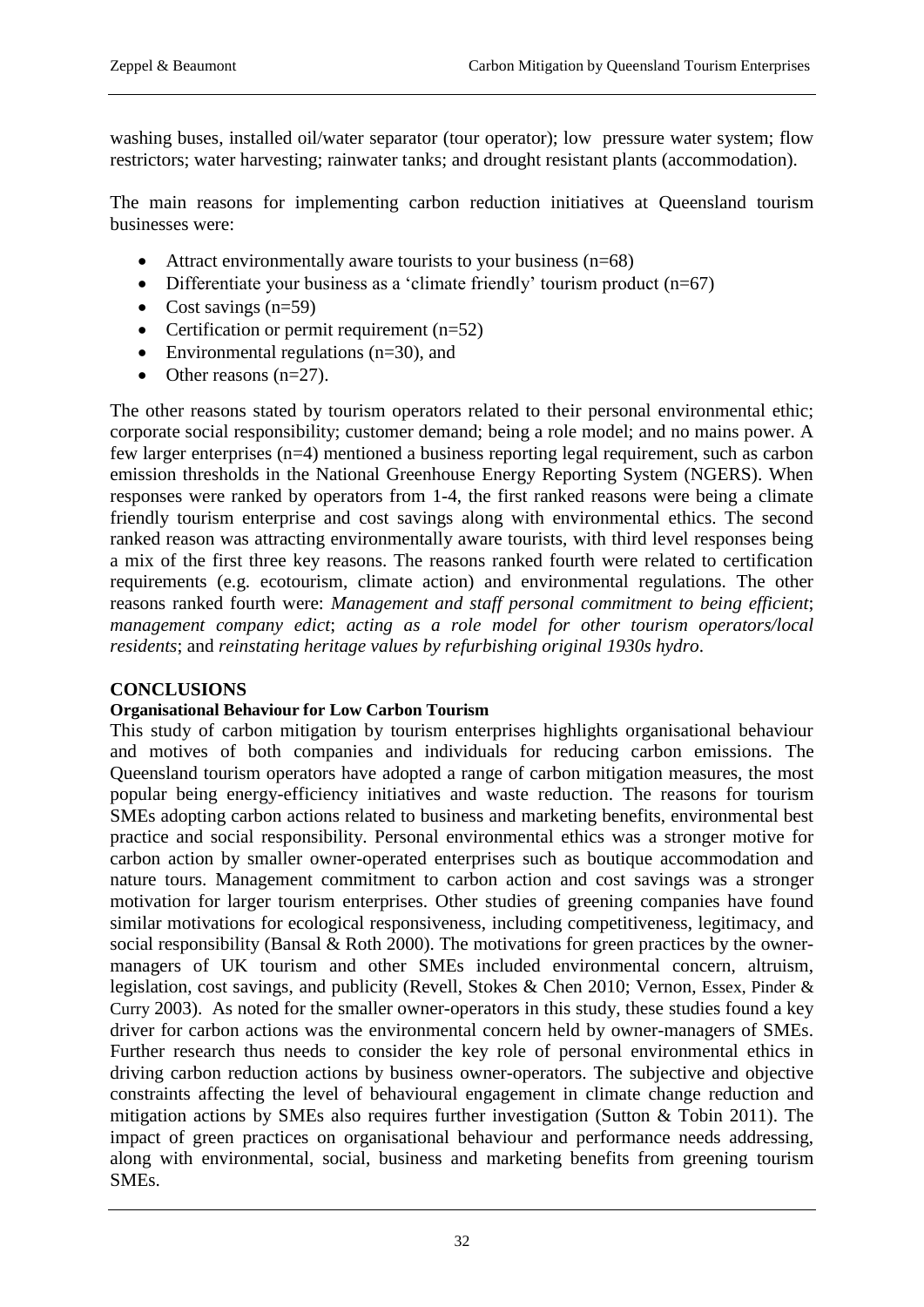washing buses, installed oil/water separator (tour operator); low pressure water system; flow restrictors; water harvesting; rainwater tanks; and drought resistant plants (accommodation).

The main reasons for implementing carbon reduction initiatives at Queensland tourism businesses were:

- Attract environmentally aware tourists to your business  $(n=68)$
- Differentiate your business as a 'climate friendly' tourism product  $(n=67)$
- Cost savings  $(n=59)$
- Certification or permit requirement  $(n=52)$
- $\bullet$  Environmental regulations (n=30), and
- $\bullet$  Other reasons (n=27).

The other reasons stated by tourism operators related to their personal environmental ethic; corporate social responsibility; customer demand; being a role model; and no mains power. A few larger enterprises (n=4) mentioned a business reporting legal requirement, such as carbon emission thresholds in the National Greenhouse Energy Reporting System (NGERS). When responses were ranked by operators from 1-4, the first ranked reasons were being a climate friendly tourism enterprise and cost savings along with environmental ethics. The second ranked reason was attracting environmentally aware tourists, with third level responses being a mix of the first three key reasons. The reasons ranked fourth were related to certification requirements (e.g. ecotourism, climate action) and environmental regulations. The other reasons ranked fourth were: *Management and staff personal commitment to being efficient*; *management company edict*; *acting as a role model for other tourism operators/local residents*; and *reinstating heritage values by refurbishing original 1930s hydro*.

## **CONCLUSIONS**

## **Organisational Behaviour for Low Carbon Tourism**

This study of carbon mitigation by tourism enterprises highlights organisational behaviour and motives of both companies and individuals for reducing carbon emissions. The Queensland tourism operators have adopted a range of carbon mitigation measures, the most popular being energy-efficiency initiatives and waste reduction. The reasons for tourism SMEs adopting carbon actions related to business and marketing benefits, environmental best practice and social responsibility. Personal environmental ethics was a stronger motive for carbon action by smaller owner-operated enterprises such as boutique accommodation and nature tours. Management commitment to carbon action and cost savings was a stronger motivation for larger tourism enterprises. Other studies of greening companies have found similar motivations for ecological responsiveness, including competitiveness, legitimacy, and social responsibility (Bansal & Roth 2000). The motivations for green practices by the ownermanagers of UK tourism and other SMEs included environmental concern, altruism, legislation, cost savings, and publicity (Revell, Stokes & Chen 2010; Vernon, Essex, Pinder & Curry 2003). As noted for the smaller owner-operators in this study, these studies found a key driver for carbon actions was the environmental concern held by owner-managers of SMEs. Further research thus needs to consider the key role of personal environmental ethics in driving carbon reduction actions by business owner-operators. The subjective and objective constraints affecting the level of behavioural engagement in climate change reduction and mitigation actions by SMEs also requires further investigation (Sutton & Tobin 2011). The impact of green practices on organisational behaviour and performance needs addressing, along with environmental, social, business and marketing benefits from greening tourism SMEs.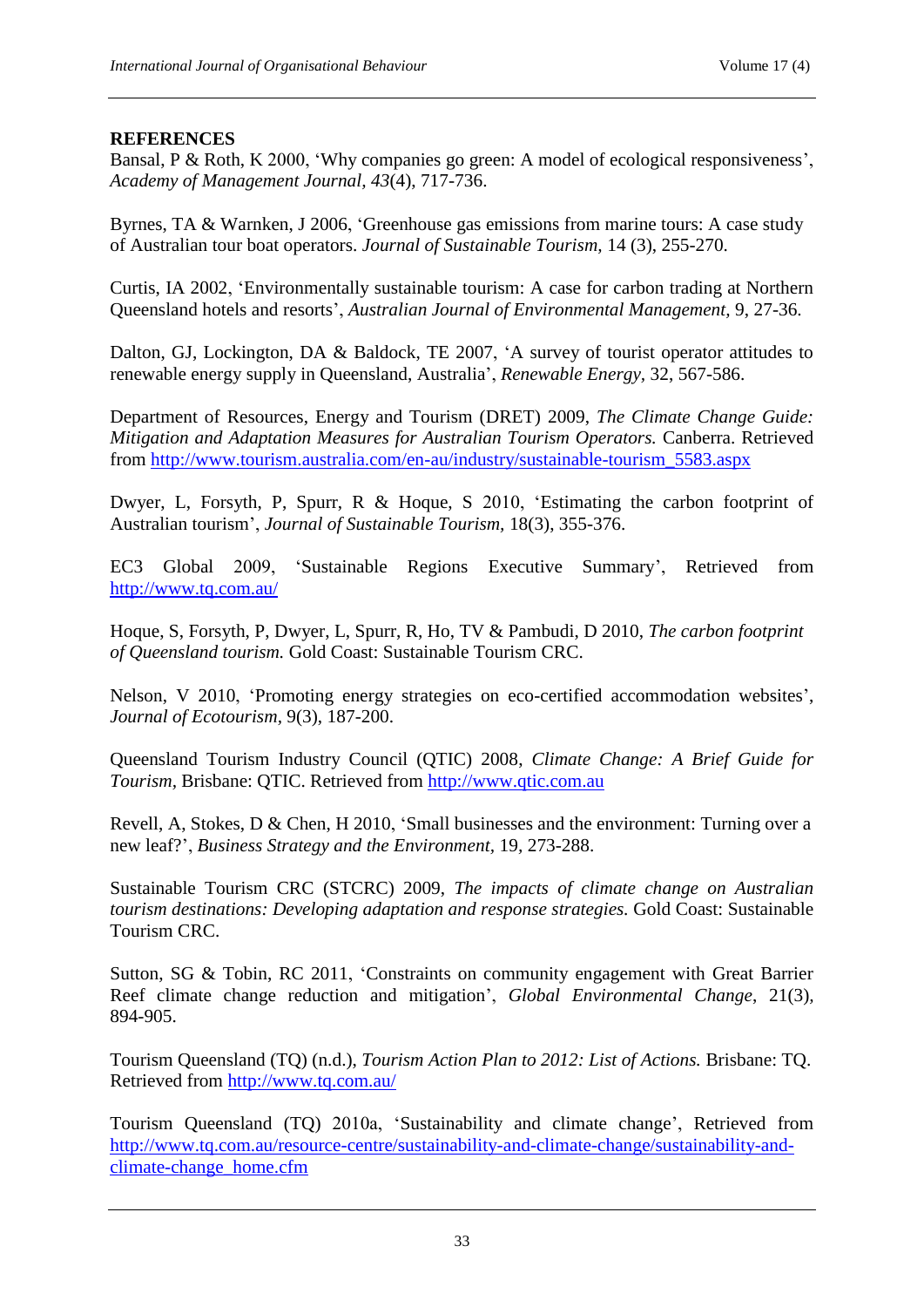## **REFERENCES**

Bansal, P & Roth, K 2000, 'Why companies go green: A model of ecological responsiveness', *Academy of Management Journal, 43*(4), 717-736.

Byrnes, TA & Warnken, J 2006, 'Greenhouse gas emissions from marine tours: A case study of Australian tour boat operators. *Journal of Sustainable Tourism,* 14 (3), 255-270.

Curtis, IA 2002, 'Environmentally sustainable tourism: A case for carbon trading at Northern Queensland hotels and resorts', *Australian Journal of Environmental Management,* 9, 27-36.

Dalton, GJ, Lockington, DA & Baldock, TE 2007, 'A survey of tourist operator attitudes to renewable energy supply in Queensland, Australia', *Renewable Energy,* 32, 567-586.

Department of Resources, Energy and Tourism (DRET) 2009, *The Climate Change Guide: Mitigation and Adaptation Measures for Australian Tourism Operators.* Canberra. Retrieved from [http://www.tourism.australia.com/en-au/industry/sustainable-tourism\\_5583.aspx](http://www.tourism.australia.com/en-au/industry/sustainable-tourism_5583.aspx)

Dwyer, L, Forsyth, P, Spurr, R & Hoque, S 2010, 'Estimating the carbon footprint of Australian tourism', *Journal of Sustainable Tourism,* 18(3), 355-376.

EC3 Global 2009, 'Sustainable Regions Executive Summary', Retrieved from <http://www.tq.com.au/>

Hoque, S, Forsyth, P, Dwyer, L, Spurr, R, Ho, TV & Pambudi, D 2010, *The carbon footprint of Queensland tourism.* Gold Coast: Sustainable Tourism CRC.

Nelson, V 2010, 'Promoting energy strategies on eco-certified accommodation websites', *Journal of Ecotourism,* 9(3), 187-200.

Queensland Tourism Industry Council (QTIC) 2008, *Climate Change: A Brief Guide for Tourism,* Brisbane: QTIC. Retrieved from [http://www.qtic.com.au](http://www.qtic.com.au/)

Revell, A, Stokes, D & Chen, H 2010, 'Small businesses and the environment: Turning over a new leaf?', *Business Strategy and the Environment,* 19*,* 273-288.

Sustainable Tourism CRC (STCRC) 2009, *The impacts of climate change on Australian tourism destinations: Developing adaptation and response strategies.* Gold Coast: Sustainable Tourism CRC.

Sutton, SG & Tobin, RC 2011, 'Constraints on community engagement with Great Barrier Reef climate change reduction and mitigation', *Global Environmental Change*, 21(3)*,*  894-905.

Tourism Queensland (TQ) (n.d.), *Tourism Action Plan to 2012: List of Actions.* Brisbane: TQ. Retrieved from<http://www.tq.com.au/>

Tourism Queensland (TQ) 2010a, 'Sustainability and climate change', Retrieved from [http://www.tq.com.au/resource-centre/sustainability-and-climate-change/sustainability-and](http://www.tq.com.au/resource-centre/sustainability-and-climate-change/sustainability-and-climate-change_home.cfm)[climate-change\\_home.cfm](http://www.tq.com.au/resource-centre/sustainability-and-climate-change/sustainability-and-climate-change_home.cfm)